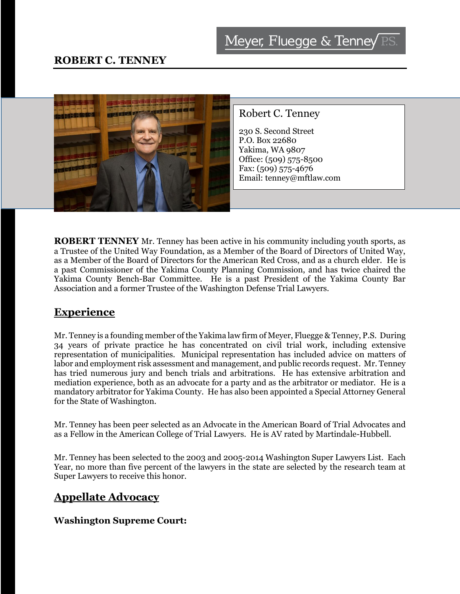

**ROBERT TENNEY** Mr. Tenney has been active in his community including youth sports, as a Trustee of the United Way Foundation, as a Member of the Board of Directors of United Way, as a Member of the Board of Directors for the American Red Cross, and as a church elder. He is a past Commissioner of the Yakima County Planning Commission, and has twice chaired the Yakima County Bench-Bar Committee. He is a past President of the Yakima County Bar Association and a former Trustee of the Washington Defense Trial Lawyers.

### **Experience**

Mr. Tenney is a founding member of the Yakima law firm of Meyer, Fluegge & Tenney, P.S. During 34 years of private practice he has concentrated on civil trial work, including extensive representation of municipalities. Municipal representation has included advice on matters of labor and employment risk assessment and management, and public records request. Mr. Tenney has tried numerous jury and bench trials and arbitrations. He has extensive arbitration and mediation experience, both as an advocate for a party and as the arbitrator or mediator. He is a mandatory arbitrator for Yakima County. He has also been appointed a Special Attorney General for the State of Washington.

Mr. Tenney has been peer selected as an Advocate in the American Board of Trial Advocates and as a Fellow in the American College of Trial Lawyers. He is AV rated by Martindale-Hubbell.

Mr. Tenney has been selected to the 2003 and 2005-2014 Washington Super Lawyers List. Each Year, no more than five percent of the lawyers in the state are selected by the research team at Super Lawyers to receive this honor.

### **Appellate Advocacy**

#### **Washington Supreme Court:**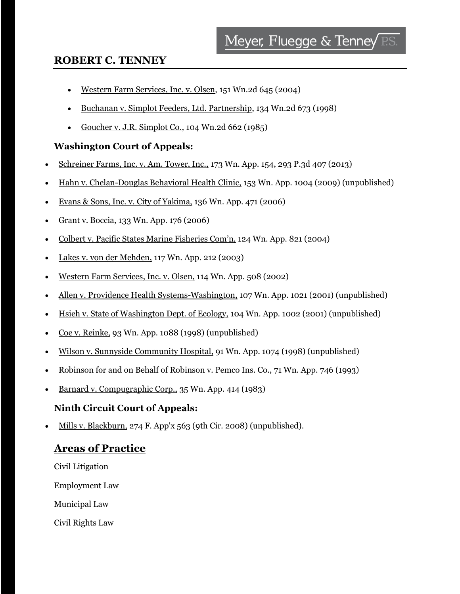### **ROBERT C. TENNEY**

- Western Farm Services, Inc. v. Olsen, 151 Wn.2d 645 (2004)
- Buchanan v. Simplot Feeders, Ltd. Partnership, 134 Wn.2d 673 (1998)
- Goucher v. J.R. Simplot Co., 104 Wn.2d  $662$  (1985)

#### **Washington Court of Appeals:**

- Schreiner Farms, Inc. v. Am. Tower, Inc., 173 Wn. App. 154, 293 P.3d 407 (2013)
- Hahn v. Chelan-Douglas Behavioral Health Clinic, 153 Wn. App. 1004 (2009) (unpublished)
- Evans & Sons, Inc. v. City of Yakima, 136 Wn. App. 471 (2006)
- Grant v. Boccia, 133 Wn. App. 176 (2006)
- Colbert v. Pacific States Marine Fisheries Com'n, 124 Wn. App. 821 (2004)
- Lakes v. von der Mehden, 117 Wn. App. 212 (2003)
- Western Farm Services, Inc. v. Olsen, 114 Wn. App. 508 (2002)
- Allen v. Providence Health Systems-Washington, 107 Wn. App. 1021 (2001) (unpublished)
- Hsieh v. State of Washington Dept. of Ecology, 104 Wn. App. 1002 (2001) (unpublished)
- Coe v. Reinke, 93 Wn. App. 1088 (1998) (unpublished)
- Wilson v. Sunnyside Community Hospital, 91 Wn. App. 1074 (1998) (unpublished)
- Robinson for and on Behalf of Robinson v. Pemco Ins. Co., 71 Wn. App. 746 (1993)
- Barnard v. Compugraphic Corp., 35 Wn. App. 414 (1983)

#### **Ninth Circuit Court of Appeals:**

Mills v. Blackburn, 274 F. App'x 563 (9th Cir. 2008) (unpublished).

### **Areas of Practice**

Civil Litigation Employment Law Municipal Law Civil Rights Law